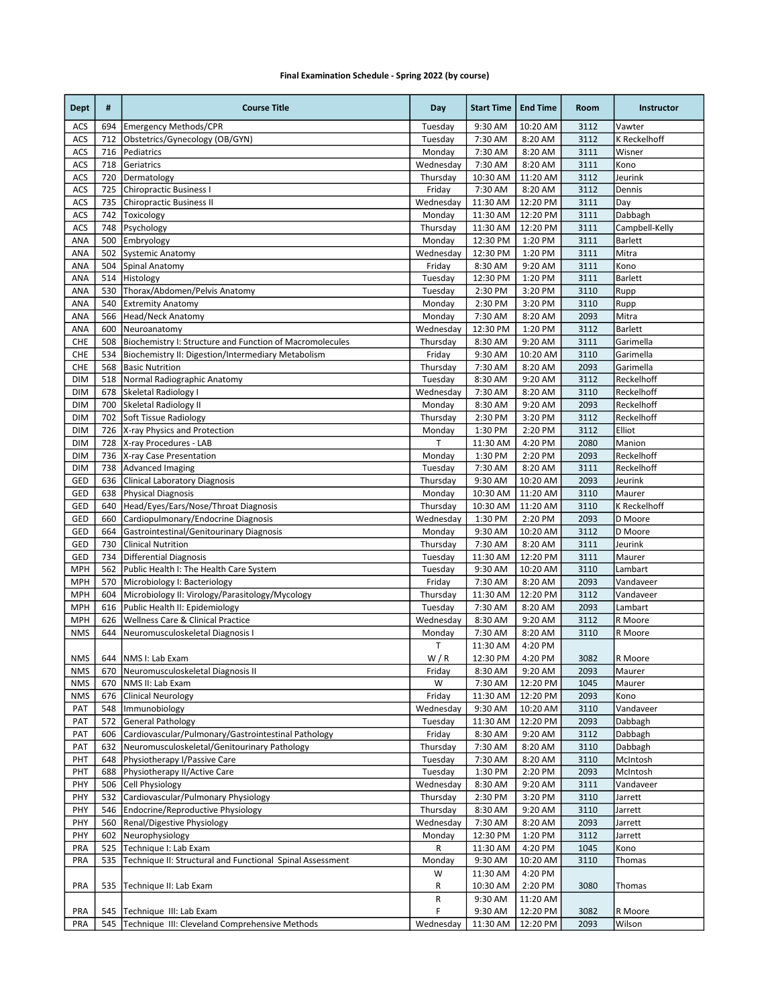## Final Examination Schedule - Spring 2022 (by course)

| <b>Dept</b>       | #          | <b>Course Title</b>                                                      | Day                   | <b>Start Time</b>   | <b>End Time</b>    | Room         | Instructor                  |
|-------------------|------------|--------------------------------------------------------------------------|-----------------------|---------------------|--------------------|--------------|-----------------------------|
| ACS               | 694        | <b>Emergency Methods/CPR</b>                                             | Tuesday               | 9:30 AM             | 10:20 AM           | 3112         | Vawter                      |
| ACS               | 712        | Obstetrics/Gynecology (OB/GYN)                                           | Tuesday               | 7:30 AM             | 8:20 AM            | 3112         | <b>K Reckelhoff</b>         |
| ACS               | 716        | Pediatrics                                                               | Monday                | 7:30 AM             | 8:20 AM            | 3111         | Wisner                      |
| ACS               | 718        | Geriatrics                                                               | Wednesday             | 7:30 AM             | 8:20 AM            | 3111         | Kono                        |
| ACS               | 720        | Dermatology                                                              | Thursday              | 10:30 AM            | 11:20 AM           | 3112         | Jeurink                     |
| ACS               | 725        | Chiropractic Business I                                                  | Friday                | 7:30 AM             | 8:20 AM            | 3112         | Dennis                      |
| ACS               | 735        | Chiropractic Business II                                                 | Wednesday             | 11:30 AM            | 12:20 PM           | 3111         | Day                         |
| ACS               | 742        | Toxicology                                                               | Monday                | 11:30 AM            | 12:20 PM           | 3111         | Dabbagh                     |
| ACS               | 748        | Psychology                                                               | Thursday              | 11:30 AM            | 12:20 PM           | 3111         | Campbell-Kelly              |
| ANA               | 500        | <b>Embryology</b>                                                        | Monday                | 12:30 PM            | 1:20 PM            | 3111         | Barlett                     |
| ANA               | 502        | Systemic Anatomy                                                         | Wednesday             | 12:30 PM            | 1:20 PM            | 3111         | Mitra                       |
| ANA               | 504        | Spinal Anatomy                                                           | Friday                | 8:30 AM             | 9:20 AM            | 3111         | Kono<br><b>Barlett</b>      |
| ANA               | 514<br>530 | Histology<br>Thorax/Abdomen/Pelvis Anatomy                               | Tuesday               | 12:30 PM            | 1:20 PM            | 3111<br>3110 |                             |
| ANA<br>ANA        | 540        | <b>Extremity Anatomy</b>                                                 | Tuesday<br>Monday     | 2:30 PM<br>2:30 PM  | 3:20 PM<br>3:20 PM | 3110         | Rupp<br>Rupp                |
| ANA               | 566        | Head/Neck Anatomy                                                        | Monday                | 7:30 AM             |                    | 2093         | Mitra                       |
|                   | 600        |                                                                          |                       |                     | 8:20 AM            |              |                             |
| ANA<br><b>CHE</b> | 508        | Neuroanatomy<br>Biochemistry I: Structure and Function of Macromolecules | Wednesday<br>Thursday | 12:30 PM<br>8:30 AM | 1:20 PM<br>9:20 AM | 3112<br>3111 | <b>Barlett</b><br>Garimella |
| CHE               | 534        | Biochemistry II: Digestion/Intermediary Metabolism                       | Friday                | 9:30 AM             | 10:20 AM           | 3110         | Garimella                   |
| <b>CHE</b>        | 568        | <b>Basic Nutrition</b>                                                   | Thursday              | 7:30 AM             | 8:20 AM            | 2093         | Garimella                   |
| <b>DIM</b>        | 518        | Normal Radiographic Anatomy                                              | Tuesday               | 8:30 AM             | 9:20 AM            | 3112         | Reckelhoff                  |
| <b>DIM</b>        | 678        | Skeletal Radiology I                                                     | Wednesday             | 7:30 AM             | 8:20 AM            | 3110         | Reckelhoff                  |
| <b>DIM</b>        | 700        | Skeletal Radiology II                                                    | Monday                | 8:30 AM             | 9:20 AM            | 2093         | Reckelhoff                  |
| <b>DIM</b>        | 702        | Soft Tissue Radiology                                                    | Thursday              | 2:30 PM             | 3:20 PM            | 3112         | Reckelhoff                  |
| DIM               | 726        | X-ray Physics and Protection                                             | Monday                | 1:30 PM             | 2:20 PM            | 3112         | Elliot                      |
| <b>DIM</b>        | 728        | X-ray Procedures - LAB                                                   | T                     | 11:30 AM            | 4:20 PM            | 2080         | Manion                      |
| <b>DIM</b>        | 736        | X-ray Case Presentation                                                  | Monday                | 1:30 PM             | 2:20 PM            | 2093         | Reckelhoff                  |
| <b>DIM</b>        | 738        | Advanced Imaging                                                         | Tuesday               | 7:30 AM             | 8:20 AM            | 3111         | Reckelhoff                  |
| GED               | 636        | Clinical Laboratory Diagnosis                                            | Thursday              | 9:30 AM             | 10:20 AM           | 2093         | Jeurink                     |
| GED               | 638        | Physical Diagnosis                                                       | Monday                | 10:30 AM            | 11:20 AM           | 3110         | Maurer                      |
| GED               | 640        | Head/Eyes/Ears/Nose/Throat Diagnosis                                     | Thursday              | 10:30 AM            | 11:20 AM           | 3110         | K Reckelhoff                |
| GED               | 660        | Cardiopulmonary/Endocrine Diagnosis                                      | Wednesday             | 1:30 PM             | 2:20 PM            | 2093         | D Moore                     |
| GED               | 664        | Gastrointestinal/Genitourinary Diagnosis                                 | Monday                | 9:30 AM             | 10:20 AM           | 3112         | D Moore                     |
| GED               | 730        | <b>Clinical Nutrition</b>                                                | Thursday              | 7:30 AM             | 8:20 AM            | 3111         | Jeurink                     |
| GED               | 734        | Differential Diagnosis                                                   | Tuesday               | 11:30 AM            | 12:20 PM           | 3111         | Maurer                      |
| <b>MPH</b>        | 562        | Public Health I: The Health Care System                                  | Tuesday               | 9:30 AM             | 10:20 AM           | 3110         | Lambart                     |
| <b>MPH</b>        | 570        | Microbiology I: Bacteriology                                             | Friday                | 7:30 AM             | 8:20 AM            | 2093         | Vandaveer                   |
| <b>MPH</b>        | 604        | Microbiology II: Virology/Parasitology/Mycology                          | Thursday              | 11:30 AM            | 12:20 PM           | 3112         | Vandaveer                   |
| <b>MPH</b>        | 616        | Public Health II: Epidemiology                                           | Tuesday               | 7:30 AM             | 8:20 AM            | 2093         | Lambart                     |
| <b>MPH</b>        | 626        | Wellness Care & Clinical Practice                                        | Wednesday             | 8:30 AM             | 9:20 AM            | 3112         | R Moore                     |
| <b>NMS</b>        | 644        | Neuromusculoskeletal Diagnosis I                                         | Monday                | 7:30 AM             | 8:20 AM            | 3110         | R Moore                     |
|                   |            |                                                                          | Т                     | 11:30 AM            | 4:20 PM            |              |                             |
| <b>NMS</b>        |            | 644   NMS I: Lab Exam                                                    | W/R                   | 12:30 PM            | 4:20 PM            | 3082         | R Moore                     |
| <b>NMS</b>        | 670        | Neuromusculoskeletal Diagnosis II                                        | Friday                | 8:30 AM             | 9:20 AM            | 2093         | Maurer                      |
| <b>NMS</b>        | 670        | NMS II: Lab Exam                                                         | W                     | 7:30 AM             | 12:20 PM           | 1045         | Maurer                      |
| <b>NMS</b>        | 676        | <b>Clinical Neurology</b>                                                | Friday                | 11:30 AM            | 12:20 PM           | 2093         | Kono                        |
| PAT               | 548        | Immunobiology                                                            | Wednesday             | 9:30 AM             | 10:20 AM           | 3110         | Vandaveer                   |
| PAT               | 572        | General Pathology                                                        | Tuesday               | 11:30 AM            | 12:20 PM           | 2093         | Dabbagh                     |
| PAT               | 606        | Cardiovascular/Pulmonary/Gastrointestinal Pathology                      | Friday                | 8:30 AM             | 9:20 AM            | 3112         | Dabbagh                     |
| PAT               | 632        | Neuromusculoskeletal/Genitourinary Pathology                             | Thursday              | 7:30 AM             | 8:20 AM            | 3110         | Dabbagh                     |
| PHT               | 648        | Physiotherapy I/Passive Care                                             | Tuesday               | 7:30 AM             | 8:20 AM            | 3110         | McIntosh                    |
| PHT               | 688        | Physiotherapy II/Active Care                                             | Tuesday               | 1:30 PM             | 2:20 PM            | 2093         | McIntosh                    |
| PHY               | 506        | Cell Physiology                                                          | Wednesday             | 8:30 AM             | 9:20 AM            | 3111         | Vandaveer                   |
| PHY               | 532        | Cardiovascular/Pulmonary Physiology                                      | Thursday              | 2:30 PM             | 3:20 PM            | 3110         | Jarrett                     |
| PHY               | 546        | Endocrine/Reproductive Physiology                                        | Thursday              | 8:30 AM             | 9:20 AM            | 3110         | Jarrett                     |
| PHY               | 560        | Renal/Digestive Physiology                                               | Wednesday             | 7:30 AM             | 8:20 AM            | 2093         | Jarrett                     |
| PHY               | 602        | Neurophysiology                                                          | Monday                | 12:30 PM            | 1:20 PM            | 3112         | Jarrett                     |
| PRA               | 525        | Technique I: Lab Exam                                                    | R                     | 11:30 AM            | 4:20 PM            | 1045         | Kono                        |
| PRA               | 535        | Technique II: Structural and Functional Spinal Assessment                | Monday                | $9:30$ AM           | 10:20 AM           | 3110         | Thomas                      |
|                   |            |                                                                          | W                     | 11:30 AM            | 4:20 PM            |              |                             |
| PRA               | 535        | Technique II: Lab Exam                                                   | R                     | 10:30 AM            | 2:20 PM            | 3080         | Thomas                      |
|                   |            |                                                                          | R                     | 9:30 AM             | 11:20 AM           |              |                             |
| PRA               | 545        | Technique III: Lab Exam                                                  | F                     | 9:30 AM             | 12:20 PM           | 3082         | R Moore                     |
| PRA               | 545        | Technique III: Cleveland Comprehensive Methods                           | Wednesday             | 11:30 AM            | 12:20 PM           | 2093         | Wilson                      |